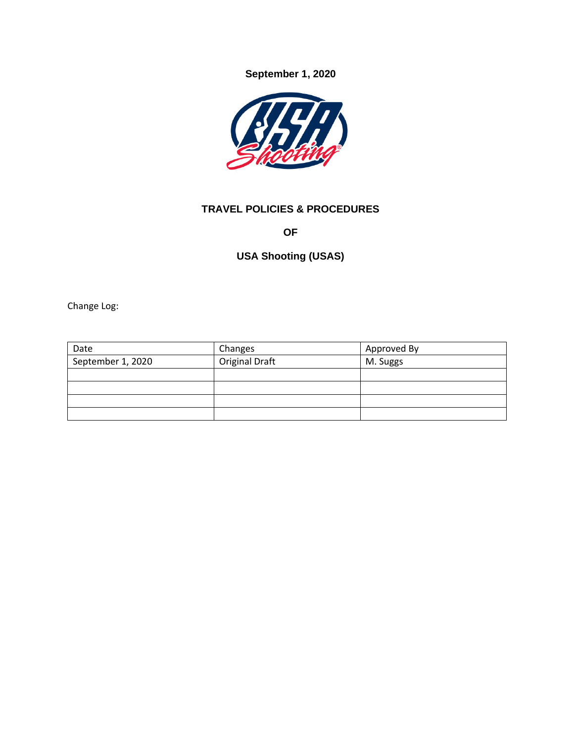**September 1, 2020**



## **TRAVEL POLICIES & PROCEDURES**

**OF**

# **USA Shooting (USAS)**

Change Log:

| Date              | Changes               | Approved By |
|-------------------|-----------------------|-------------|
| September 1, 2020 | <b>Original Draft</b> | M. Suggs    |
|                   |                       |             |
|                   |                       |             |
|                   |                       |             |
|                   |                       |             |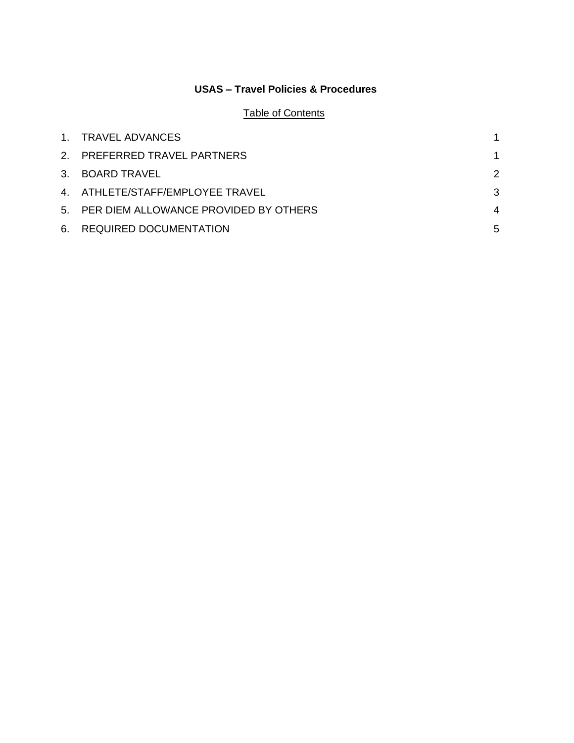## **USAS – Travel Policies & Procedures**

## Table of Contents

| 1. TRAVEL ADVANCES                       |   |
|------------------------------------------|---|
| 2. PREFERRED TRAVEL PARTNERS             |   |
| 3. BOARD TRAVEL                          | 2 |
| 4. ATHLETE/STAFF/EMPLOYEE TRAVEL         | 3 |
| 5. PER DIEM ALLOWANCE PROVIDED BY OTHERS | 4 |
| 6. REQUIRED DOCUMENTATION                | 5 |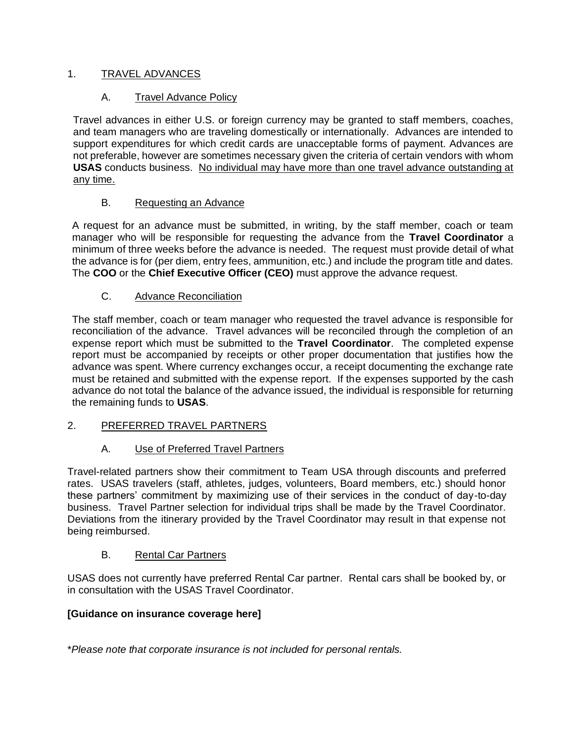## <span id="page-2-0"></span>1. TRAVEL ADVANCES

## A. Travel Advance Policy

Travel advances in either U.S. or foreign currency may be granted to staff members, coaches, and team managers who are traveling domestically or internationally. Advances are intended to support expenditures for which credit cards are unacceptable forms of payment. Advances are not preferable, however are sometimes necessary given the criteria of certain vendors with whom **USAS** conducts business. No individual may have more than one travel advance outstanding at any time.

#### B. Requesting an Advance

A request for an advance must be submitted, in writing, by the staff member, coach or team manager who will be responsible for requesting the advance from the **Travel Coordinator** a minimum of three weeks before the advance is needed. The request must provide detail of what the advance is for (per diem, entry fees, ammunition, etc.) and include the program title and dates. The **COO** or the **Chief Executive Officer (CEO)** must approve the advance request.

#### C. Advance Reconciliation

The staff member, coach or team manager who requested the travel advance is responsible for reconciliation of the advance. Travel advances will be reconciled through the completion of an expense report which must be submitted to the **Travel Coordinator**. The completed expense report must be accompanied by receipts or other proper documentation that justifies how the advance was spent. Where currency exchanges occur, a receipt documenting the exchange rate must be retained and submitted with the expense report. If the expenses supported by the cash advance do not total the balance of the advance issued, the individual is responsible for returning the remaining funds to **USAS**.

## <span id="page-2-1"></span>2. PREFERRED TRAVEL PARTNERS

## A. Use of Preferred Travel Partners

Travel-related partners show their commitment to Team USA through discounts and preferred rates. USAS travelers (staff, athletes, judges, volunteers, Board members, etc.) should honor these partners' commitment by maximizing use of their services in the conduct of day-to-day business. Travel Partner selection for individual trips shall be made by the Travel Coordinator. Deviations from the itinerary provided by the Travel Coordinator may result in that expense not being reimbursed.

#### B. Rental Car Partners

USAS does not currently have preferred Rental Car partner. Rental cars shall be booked by, or in consultation with the USAS Travel Coordinator.

#### **[Guidance on insurance coverage here]**

\**Please note that corporate insurance is not included for personal rentals.*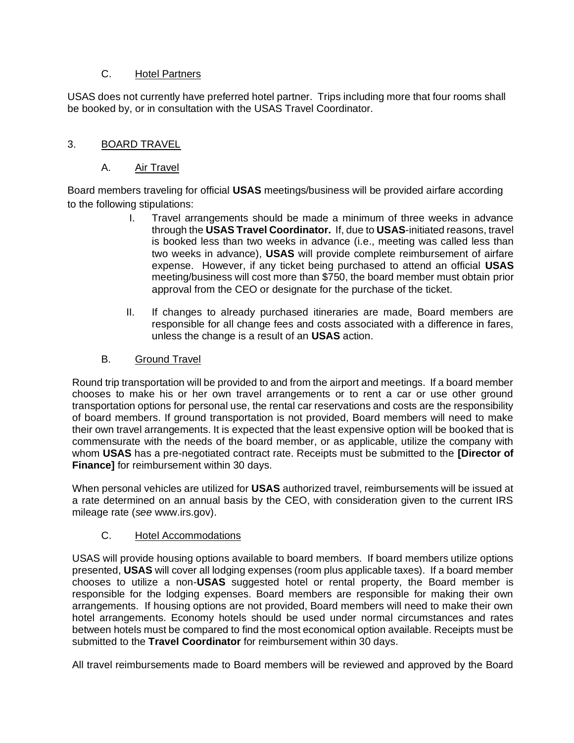## C. Hotel Partners

USAS does not currently have preferred hotel partner. Trips including more that four rooms shall be booked by, or in consultation with the USAS Travel Coordinator.

## <span id="page-3-0"></span>3. BOARD TRAVEL

## A. Air Travel

Board members traveling for official **USAS** meetings/business will be provided airfare according to the following stipulations:

- I. Travel arrangements should be made a minimum of three weeks in advance through the **USAS Travel Coordinator.** If, due to **USAS**-initiated reasons, travel is booked less than two weeks in advance (i.e., meeting was called less than two weeks in advance), **USAS** will provide complete reimbursement of airfare expense. However, if any ticket being purchased to attend an official **USAS** meeting/business will cost more than \$750, the board member must obtain prior approval from the CEO or designate for the purchase of the ticket.
- II. If changes to already purchased itineraries are made, Board members are responsible for all change fees and costs associated with a difference in fares, unless the change is a result of an **USAS** action.

## B. Ground Travel

Round trip transportation will be provided to and from the airport and meetings. If a board member chooses to make his or her own travel arrangements or to rent a car or use other ground transportation options for personal use, the rental car reservations and costs are the responsibility of board members. If ground transportation is not provided, Board members will need to make their own travel arrangements. It is expected that the least expensive option will be booked that is commensurate with the needs of the board member, or as applicable, utilize the company with whom **USAS** has a pre-negotiated contract rate. Receipts must be submitted to the **[Director of Finance]** for reimbursement within 30 days.

When personal vehicles are utilized for **USAS** authorized travel, reimbursements will be issued at a rate determined on an annual basis by the CEO, with consideration given to the current IRS mileage rate (*see* www.irs.gov).

#### C. Hotel Accommodations

USAS will provide housing options available to board members. If board members utilize options presented, **USAS** will cover all lodging expenses (room plus applicable taxes). If a board member chooses to utilize a non-**USAS** suggested hotel or rental property, the Board member is responsible for the lodging expenses. Board members are responsible for making their own arrangements. If housing options are not provided, Board members will need to make their own hotel arrangements. Economy hotels should be used under normal circumstances and rates between hotels must be compared to find the most economical option available. Receipts must be submitted to the **Travel Coordinator** for reimbursement within 30 days.

All travel reimbursements made to Board members will be reviewed and approved by the Board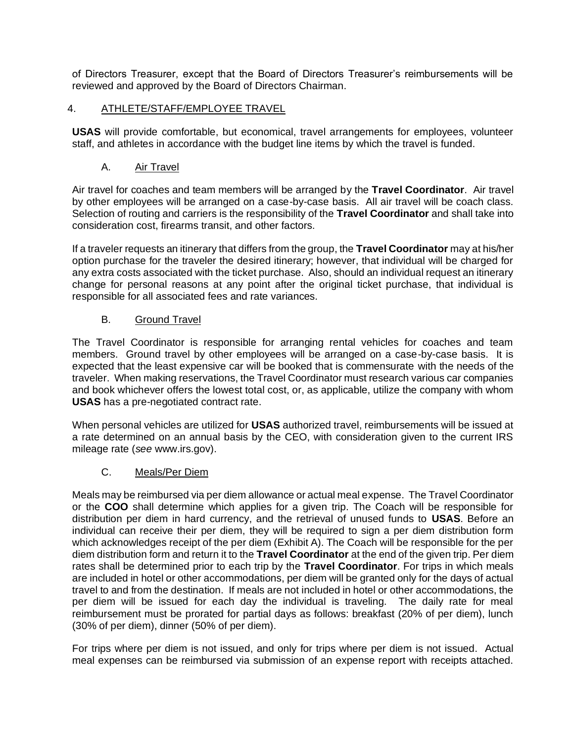of Directors Treasurer, except that the Board of Directors Treasurer's reimbursements will be reviewed and approved by the Board of Directors Chairman.

#### <span id="page-4-0"></span>4. ATHLETE/STAFF/EMPLOYEE TRAVEL

**USAS** will provide comfortable, but economical, travel arrangements for employees, volunteer staff, and athletes in accordance with the budget line items by which the travel is funded.

#### A. Air Travel

Air travel for coaches and team members will be arranged by the **Travel Coordinator**. Air travel by other employees will be arranged on a case-by-case basis. All air travel will be coach class. Selection of routing and carriers is the responsibility of the **Travel Coordinator** and shall take into consideration cost, firearms transit, and other factors.

If a traveler requests an itinerary that differs from the group, the **Travel Coordinator** may at his/her option purchase for the traveler the desired itinerary; however, that individual will be charged for any extra costs associated with the ticket purchase. Also, should an individual request an itinerary change for personal reasons at any point after the original ticket purchase, that individual is responsible for all associated fees and rate variances.

#### B. Ground Travel

The Travel Coordinator is responsible for arranging rental vehicles for coaches and team members. Ground travel by other employees will be arranged on a case-by-case basis. It is expected that the least expensive car will be booked that is commensurate with the needs of the traveler. When making reservations, the Travel Coordinator must research various car companies and book whichever offers the lowest total cost, or, as applicable, utilize the company with whom **USAS** has a pre-negotiated contract rate.

When personal vehicles are utilized for **USAS** authorized travel, reimbursements will be issued at a rate determined on an annual basis by the CEO, with consideration given to the current IRS mileage rate (*see* www.irs.gov).

#### C. Meals/Per Diem

Meals may be reimbursed via per diem allowance or actual meal expense. The Travel Coordinator or the **COO** shall determine which applies for a given trip. The Coach will be responsible for distribution per diem in hard currency, and the retrieval of unused funds to **USAS**. Before an individual can receive their per diem, they will be required to sign a per diem distribution form which acknowledges receipt of the per diem (Exhibit A). The Coach will be responsible for the per diem distribution form and return it to the **Travel Coordinator** at the end of the given trip. Per diem rates shall be determined prior to each trip by the **Travel Coordinator**. For trips in which meals are included in hotel or other accommodations, per diem will be granted only for the days of actual travel to and from the destination. If meals are not included in hotel or other accommodations, the per diem will be issued for each day the individual is traveling. The daily rate for meal reimbursement must be prorated for partial days as follows: breakfast (20% of per diem), lunch (30% of per diem), dinner (50% of per diem).

For trips where per diem is not issued, and only for trips where per diem is not issued. Actual meal expenses can be reimbursed via submission of an expense report with receipts attached.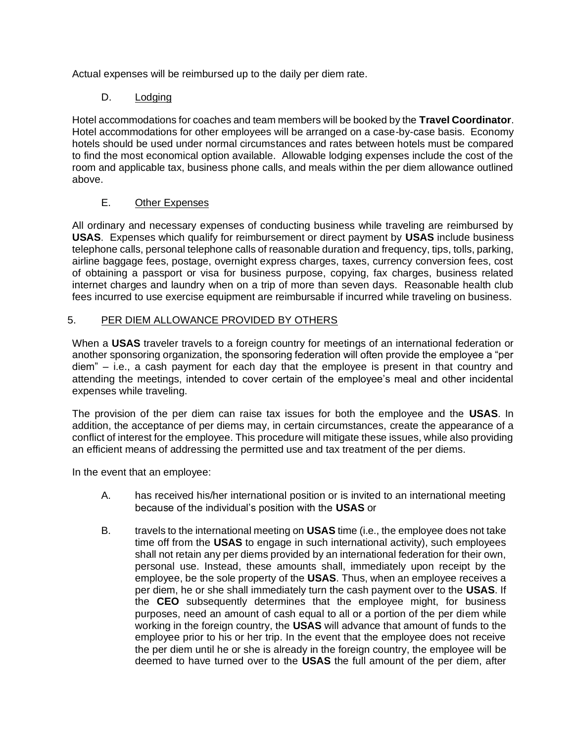Actual expenses will be reimbursed up to the daily per diem rate.

## D. Lodging

Hotel accommodations for coaches and team members will be booked by the **Travel Coordinator**. Hotel accommodations for other employees will be arranged on a case-by-case basis. Economy hotels should be used under normal circumstances and rates between hotels must be compared to find the most economical option available. Allowable lodging expenses include the cost of the room and applicable tax, business phone calls, and meals within the per diem allowance outlined above.

## E. Other Expenses

All ordinary and necessary expenses of conducting business while traveling are reimbursed by **USAS**. Expenses which qualify for reimbursement or direct payment by **USAS** include business telephone calls, personal telephone calls of reasonable duration and frequency, tips, tolls, parking, airline baggage fees, postage, overnight express charges, taxes, currency conversion fees, cost of obtaining a passport or visa for business purpose, copying, fax charges, business related internet charges and laundry when on a trip of more than seven days. Reasonable health club fees incurred to use exercise equipment are reimbursable if incurred while traveling on business.

## <span id="page-5-0"></span>5. PER DIEM ALLOWANCE PROVIDED BY OTHERS

When a **USAS** traveler travels to a foreign country for meetings of an international federation or another sponsoring organization, the sponsoring federation will often provide the employee a "per diem" – i.e., a cash payment for each day that the employee is present in that country and attending the meetings, intended to cover certain of the employee's meal and other incidental expenses while traveling.

The provision of the per diem can raise tax issues for both the employee and the **USAS**. In addition, the acceptance of per diems may, in certain circumstances, create the appearance of a conflict of interest for the employee. This procedure will mitigate these issues, while also providing an efficient means of addressing the permitted use and tax treatment of the per diems.

In the event that an employee:

- A. has received his/her international position or is invited to an international meeting because of the individual's position with the **USAS** or
- B. travels to the international meeting on **USAS** time (i.e., the employee does not take time off from the **USAS** to engage in such international activity), such employees shall not retain any per diems provided by an international federation for their own, personal use. Instead, these amounts shall, immediately upon receipt by the employee, be the sole property of the **USAS**. Thus, when an employee receives a per diem, he or she shall immediately turn the cash payment over to the **USAS**. If the **CEO** subsequently determines that the employee might, for business purposes, need an amount of cash equal to all or a portion of the per diem while working in the foreign country, the **USAS** will advance that amount of funds to the employee prior to his or her trip. In the event that the employee does not receive the per diem until he or she is already in the foreign country, the employee will be deemed to have turned over to the **USAS** the full amount of the per diem, after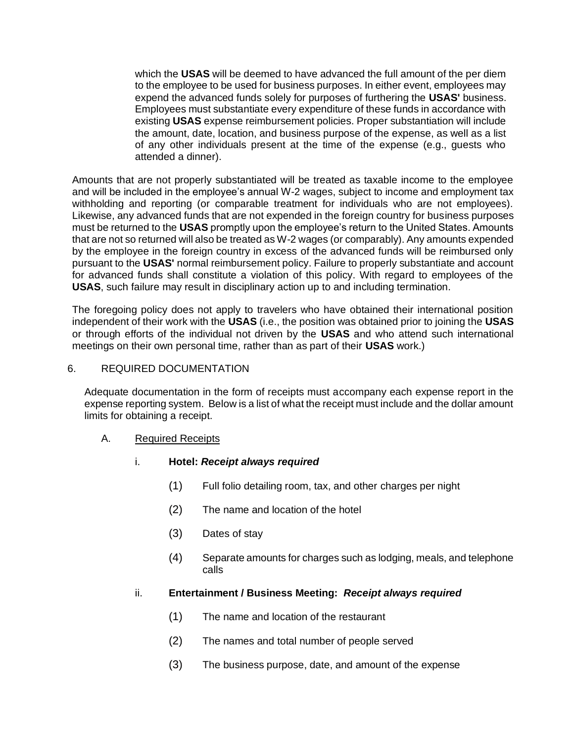which the **USAS** will be deemed to have advanced the full amount of the per diem to the employee to be used for business purposes. In either event, employees may expend the advanced funds solely for purposes of furthering the **USAS'** business. Employees must substantiate every expenditure of these funds in accordance with existing **USAS** expense reimbursement policies. Proper substantiation will include the amount, date, location, and business purpose of the expense, as well as a list of any other individuals present at the time of the expense (e.g., guests who attended a dinner).

Amounts that are not properly substantiated will be treated as taxable income to the employee and will be included in the employee's annual W-2 wages, subject to income and employment tax withholding and reporting (or comparable treatment for individuals who are not employees). Likewise, any advanced funds that are not expended in the foreign country for business purposes must be returned to the **USAS** promptly upon the employee's return to the United States. Amounts that are not so returned will also be treated as W-2 wages (or comparably). Any amounts expended by the employee in the foreign country in excess of the advanced funds will be reimbursed only pursuant to the **USAS'** normal reimbursement policy. Failure to properly substantiate and account for advanced funds shall constitute a violation of this policy. With regard to employees of the **USAS**, such failure may result in disciplinary action up to and including termination.

The foregoing policy does not apply to travelers who have obtained their international position independent of their work with the **USAS** (i.e., the position was obtained prior to joining the **USAS**  or through efforts of the individual not driven by the **USAS** and who attend such international meetings on their own personal time, rather than as part of their **USAS** work.)

#### <span id="page-6-0"></span>6. REQUIRED DOCUMENTATION

Adequate documentation in the form of receipts must accompany each expense report in the expense reporting system. Below is a list of what the receipt must include and the dollar amount limits for obtaining a receipt.

#### A. Required Receipts

- i. **Hotel:** *Receipt always required*
	- (1) Full folio detailing room, tax, and other charges per night
	- (2) The name and location of the hotel
	- (3) Dates of stay
	- (4) Separate amounts for charges such as lodging, meals, and telephone calls

#### ii. **Entertainment / Business Meeting:** *Receipt always required*

- (1) The name and location of the restaurant
- (2) The names and total number of people served
- (3) The business purpose, date, and amount of the expense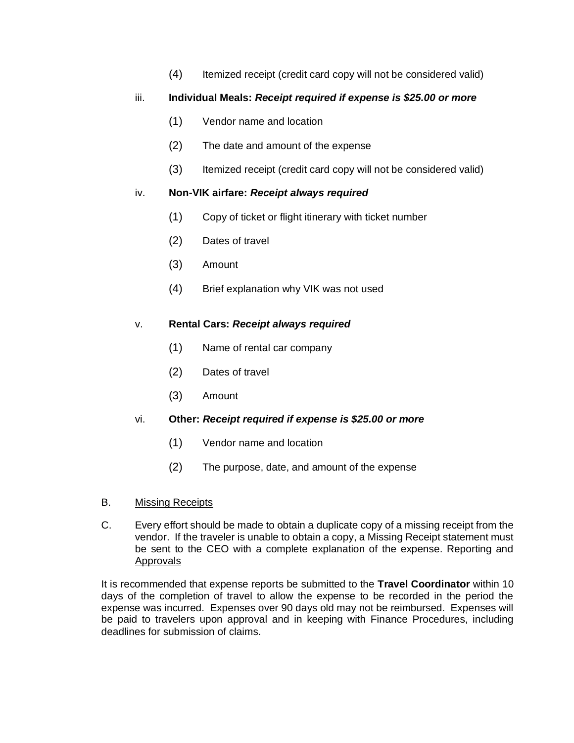(4) Itemized receipt (credit card copy will not be considered valid)

## iii. **Individual Meals:** *Receipt required if expense is \$25.00 or more*

- (1) Vendor name and location
- (2) The date and amount of the expense
- (3) Itemized receipt (credit card copy will not be considered valid)

#### iv. **Non-VIK airfare:** *Receipt always required*

- (1) Copy of ticket or flight itinerary with ticket number
- (2) Dates of travel
- (3) Amount
- (4) Brief explanation why VIK was not used

## v. **Rental Cars:** *Receipt always required*

- (1) Name of rental car company
- (2) Dates of travel
- (3) Amount

#### vi. **Other:** *Receipt required if expense is \$25.00 or more*

- (1) Vendor name and location
- (2) The purpose, date, and amount of the expense
- B. Missing Receipts
- C. Every effort should be made to obtain a duplicate copy of a missing receipt from the vendor. If the traveler is unable to obtain a copy, a Missing Receipt statement must be sent to the CEO with a complete explanation of the expense. Reporting and Approvals

It is recommended that expense reports be submitted to the **Travel Coordinator** within 10 days of the completion of travel to allow the expense to be recorded in the period the expense was incurred. Expenses over 90 days old may not be reimbursed. Expenses will be paid to travelers upon approval and in keeping with Finance Procedures, including deadlines for submission of claims.